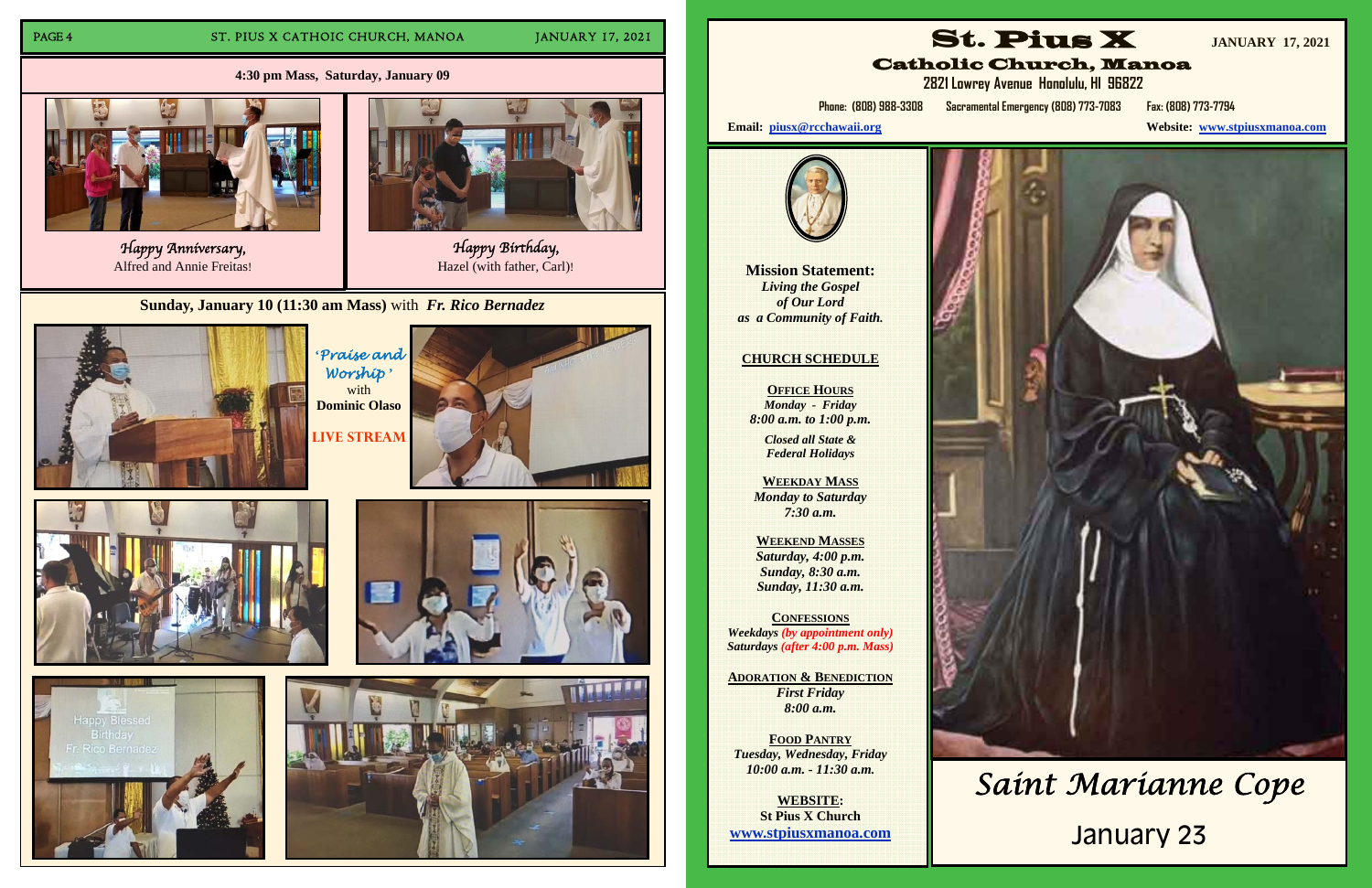## PAGE 4 ST. PIUS X CATHOIC CHURCH, MANOA JANUARY 17, 2021

**Sunday, January 10 (11:30 am Mass)** with *Fr. Rico Bernadez* 



**'***Praise and Worship* **'** with **Dominic Olaso Live Stream** 











**Mission Statement:** *Living the Gospel of Our Lord as a Community of Faith.* 



Happy Anniversary, Alfred and Annie Freitas!



Happy Birthday,<br>Hazel (with father, Carl)!

**OFFICE HOURS** *Monday - Friday 8:00 a.m. to 1:00 p.m.* 

**4:30 pm Mass, Saturday, January 09**

# **CHURCH SCHEDULE**

*Closed all State & Federal Holidays* 

**WEEKDAY MASS**  *Monday to Saturday 7:30 a.m.* 

**WEEKEND MASSES**  *Saturday, 4:00 p.m. Sunday, 8:30 a.m. Sunday, 11:30 a.m.* 

**CONFESSIONS***Weekdays (by appointment only) Saturdays (after 4:00 p.m. Mass)* 

**ADORATION & BENEDICTION** *First Friday 8:00 a.m.* 

**FOOD PANTRY** *Tuesday, Wednesday, Friday 10:00 a.m. - 11:30 a.m.* 

**WEBSITE: St Pius X Church www.stpiusxmanoa.com** 





 **2821 Lowrey Avenue Honolulu, HI 96822** 

**website:** www.stpiusxmanoa.com



**Phone: (808) 988-3308 Sacramental Emergency (808) 773-7083 Fax: (808) 773-7794** 

Email: piusx@rcchawaii.org



# *Saint Marianne Cope*

# January 23